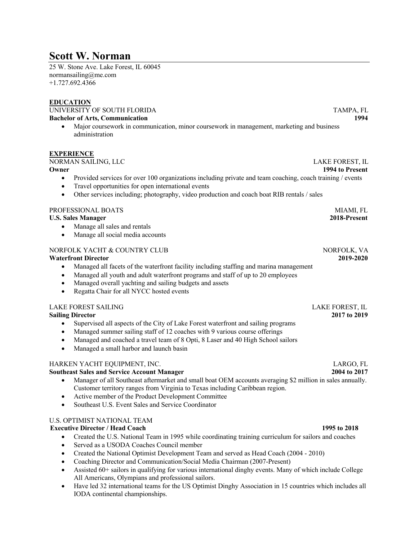# **Scott W. Norman**

25 W. Stone Ave. Lake Forest, IL 60045 normansailing@me.com +1.727.692.4366

### **EDUCATION**

UNIVERSITY OF SOUTH FLORIDA TAMPA, FL **Bachelor of Arts, Communication 1994**

• Major coursework in communication, minor coursework in management, marketing and business administration

#### **EXPERIENCE**

### NORMAN SAILING, LLC LAKE FOREST, IL

**Owner 1994 to Present**

- Provided services for over 100 organizations including private and team coaching, coach training / events
- Travel opportunities for open international events
- Other services including; photography, video production and coach boat RIB rentals / sales

#### PROFESSIONAL BOATS AND ALL THE SERVICE OF THE SERVICE OF THE MIAMI, FL

#### **U.S. Sales Manager 2018-Present**

- Manage all sales and rentals
- Manage all social media accounts

### NORFOLK YACHT & COUNTRY CLUB NORFOLK, VA

#### **Waterfront Director 2019-2020**

- Managed all facets of the waterfront facility including staffing and marina management
- Managed all youth and adult waterfront programs and staff of up to 20 employees
- Managed overall yachting and sailing budgets and assets
- Regatta Chair for all NYCC hosted events

### LAKE FOREST SAILING LAKE FOREST, IL

- Supervised all aspects of the City of Lake Forest waterfront and sailing programs
- Managed summer sailing staff of 12 coaches with 9 various course offerings
- Managed and coached a travel team of 8 Opti, 8 Laser and 40 High School sailors
- Managed a small harbor and launch basin

#### HARKEN YACHT EQUIPMENT, INC. LARGO, FL

#### **Southeast Sales and Service Account Manager 2004 to 2017**

- Manager of all Southeast aftermarket and small boat OEM accounts averaging \$2 million in sales annually. Customer territory ranges from Virginia to Texas including Caribbean region.
- Active member of the Product Development Committee
- Southeast U.S. Event Sales and Service Coordinator

### U.S. OPTIMIST NATIONAL TEAM

#### **Executive Director / Head Coach 1995 to 2018**

- Created the U.S. National Team in 1995 while coordinating training curriculum for sailors and coaches
- Served as a USODA Coaches Council member
- Created the National Optimist Development Team and served as Head Coach (2004 2010)
- Coaching Director and Communication/Social Media Chairman (2007-Present)
- Assisted 60+ sailors in qualifying for various international dinghy events. Many of which include College All Americans, Olympians and professional sailors.
- Have led 32 international teams for the US Optimist Dinghy Association in 15 countries which includes all IODA continental championships.

**Sailing Director 2017 to 2019**